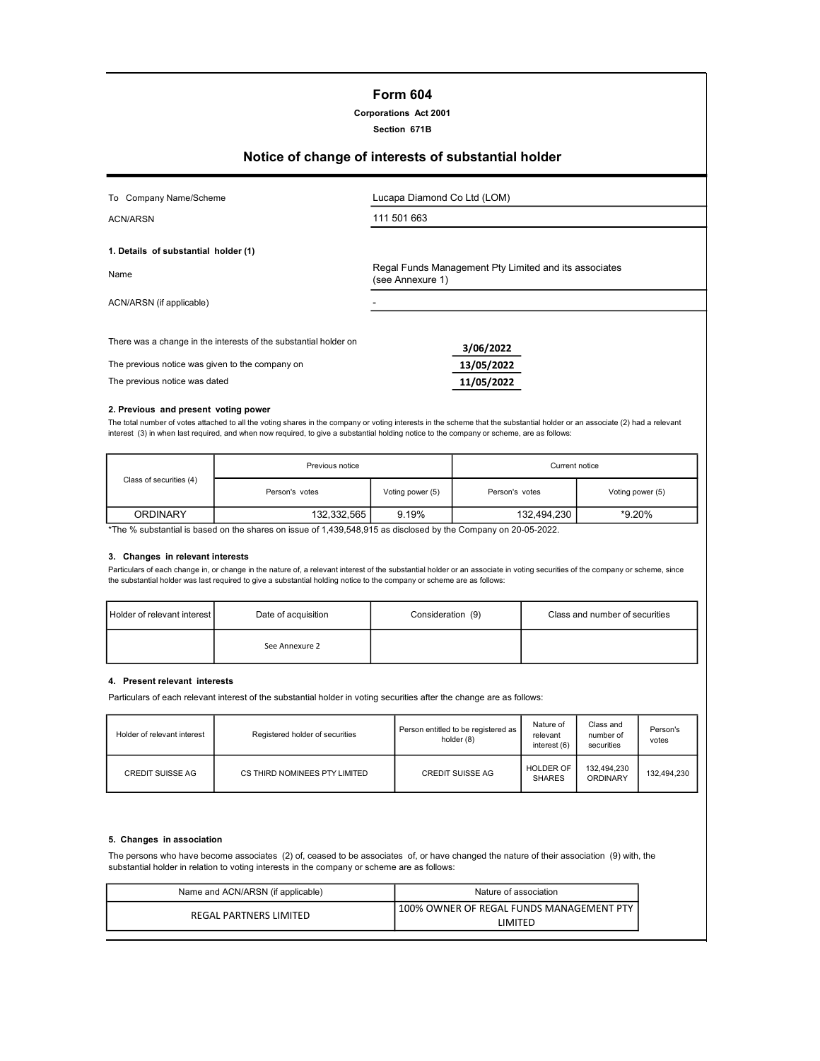## Form 604

## Corporations Act 2001

#### Section 671B

# Notice of change of interests of substantial holder

| To Company Name/Scheme                                                                                                                               | Lucapa Diamond Co Ltd (LOM)                                               |  |
|------------------------------------------------------------------------------------------------------------------------------------------------------|---------------------------------------------------------------------------|--|
| ACN/ARSN                                                                                                                                             | 111 501 663                                                               |  |
| 1. Details of substantial holder (1)                                                                                                                 |                                                                           |  |
| Name                                                                                                                                                 | Regal Funds Management Pty Limited and its associates<br>(see Annexure 1) |  |
| ACN/ARSN (if applicable)                                                                                                                             |                                                                           |  |
| There was a change in the interests of the substantial holder on<br>The previous notice was given to the company on<br>The previous notice was dated | 3/06/2022<br>13/05/2022<br>11/05/2022                                     |  |

#### 2. Previous and present voting power

The total number of votes attached to all the voting shares in the company or voting interests in the scheme that the substantial holder or an associate (2) had a relevant interest (3) in when last required, and when now required, to give a substantial holding notice to the company or scheme, are as follows:

| Previous notice |                  | Current notice |                                                                                                                         |  |
|-----------------|------------------|----------------|-------------------------------------------------------------------------------------------------------------------------|--|
| Person's votes  | Voting power (5) | Person's votes | Voting power (5)                                                                                                        |  |
| 132,332,565     | 9.19%            | 132.494.230    | *9.20%                                                                                                                  |  |
|                 |                  |                | $*$ The $\theta$ colected in leased as the chance on issue of 4,490 F40 O4F as disclosed buttles Company on 90 OF 9099. |  |

The % substantial is based on the shares on issue of 1,439,548,915 as disclosed by the Company on 20-05-2022.

#### 3. Changes in relevant interests

Particulars of each change in, or change in the nature of, a relevant interest of the substantial holder or an associate in voting securities of the company or scheme, since the substantial holder was last required to give a substantial holding notice to the company or scheme are as follows:

| Holder of relevant interest I | Date of acquisition | Consideration (9) | Class and number of securities |
|-------------------------------|---------------------|-------------------|--------------------------------|
|                               | See Annexure 2      |                   |                                |

#### 4. Present relevant interests

Particulars of each relevant interest of the substantial holder in voting securities after the change are as follows:

| Holder of relevant interest | Registered holder of securities | Person entitled to be registered as<br>holder (8) | Nature of<br>relevant<br>interest (6) | Class and<br>number of<br>securities | Person's<br>votes |
|-----------------------------|---------------------------------|---------------------------------------------------|---------------------------------------|--------------------------------------|-------------------|
| <b>CREDIT SUISSE AG</b>     | CS THIRD NOMINEES PTY LIMITED   | <b>CREDIT SUISSE AG</b>                           | <b>HOLDER OF</b><br><b>SHARES</b>     | 132.494.230<br>ORDINARY              | 132.494.230       |

#### 5. Changes in association

The persons who have become associates (2) of, ceased to be associates of, or have changed the nature of their association (9) with, the substantial holder in relation to voting interests in the company or scheme are as follows:

| Name and ACN/ARSN (if applicable) | Nature of association                                  |
|-----------------------------------|--------------------------------------------------------|
| REGAL PARTNERS LIMITED            | ! 100% OWNER OF REGAL FUNDS MANAGEMENT PTY<br>I IMITFD |